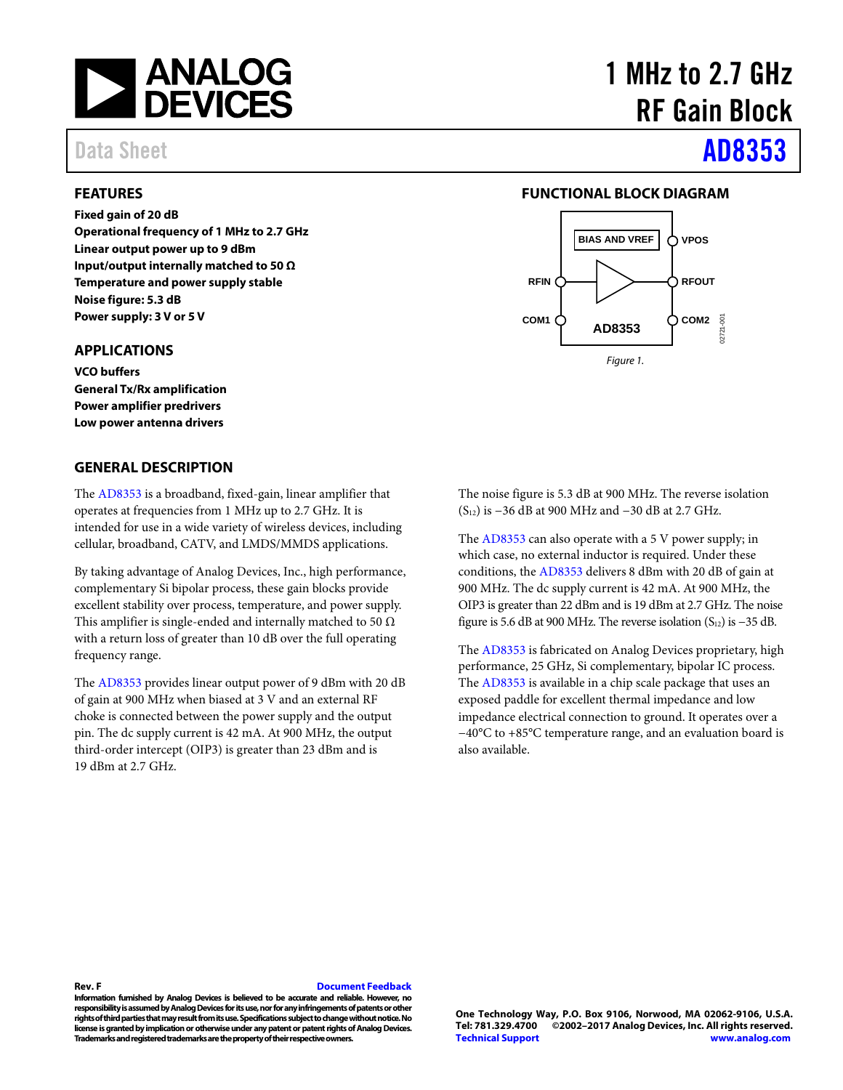

#### <span id="page-0-0"></span>**FEATURES**

**Fixed gain of 20 dB**

**Operational frequency of 1 MHz to 2.7 GHz Linear output power up to 9 dBm Input/output internally matched to 50 Ω Temperature and power supply stable Noise figure: 5.3 dB Power supply: 3 V or 5 V**

### <span id="page-0-1"></span>**APPLICATIONS**

**VCO buffers General Tx/Rx amplification Power amplifier predrivers Low power antenna drivers**

#### <span id="page-0-3"></span>**GENERAL DESCRIPTION**

The [AD8353](http://www.analog.com/AD8353?doc=AD8353.pdf) is a broadband, fixed-gain, linear amplifier that operates at frequencies from 1 MHz up to 2.7 GHz. It is intended for use in a wide variety of wireless devices, including cellular, broadband, CATV, and LMDS/MMDS applications.

By taking advantage of Analog Devices, Inc., high performance, complementary Si bipolar process, these gain blocks provide excellent stability over process, temperature, and power supply. This amplifier is single-ended and internally matched to 50  $\Omega$ with a return loss of greater than 10 dB over the full operating frequency range.

The [AD8353](http://www.analog.com/AD8353?doc=AD8353.pdf) provides linear output power of 9 dBm with 20 dB of gain at 900 MHz when biased at 3 V and an external RF choke is connected between the power supply and the output pin. The dc supply current is 42 mA. At 900 MHz, the output third-order intercept (OIP3) is greater than 23 dBm and is 19 dBm at 2.7 GHz.

# 1 MHz to 2.7 GHz RF Gain Block

# Data Sheet **[AD8353](http://www.analog.com/AD8353?doc=AD8353.pdf)**

#### **FUNCTIONAL BLOCK DIAGRAM**

<span id="page-0-2"></span>

The noise figure is 5.3 dB at 900 MHz. The reverse isolation (S12) is −36 dB at 900 MHz and −30 dB at 2.7 GHz.

The [AD8353](http://www.analog.com/AD8353?doc=AD8353.pdf) can also operate with a 5 V power supply; in which case, no external inductor is required. Under these conditions, th[e AD8353](http://www.analog.com/AD8353?doc=AD8353.pdf) delivers 8 dBm with 20 dB of gain at 900 MHz. The dc supply current is 42 mA. At 900 MHz, the OIP3 is greater than 22 dBm and is 19 dBm at 2.7 GHz. The noise figure is 5.6 dB at 900 MHz. The reverse isolation  $(S_{12})$  is −35 dB.

The [AD8353](http://www.analog.com/AD8353?doc=AD8353.pdf) is fabricated on Analog Devices proprietary, high performance, 25 GHz, Si complementary, bipolar IC process. The [AD8353](http://www.analog.com/AD8353?doc=AD8353.pdf) is available in a chip scale package that uses an exposed paddle for excellent thermal impedance and low impedance electrical connection to ground. It operates over a −40°C to +85°C temperature range, and an evaluation board is also available.

#### **Rev. F [Document Feedback](https://form.analog.com/Form_Pages/feedback/documentfeedback.aspx?doc=AD8353.pdf&product=AD8353&rev=F)**

**Information furnished by Analog Devices is believed to be accurate and reliable. However, no responsibility is assumed by Analog Devices for its use, nor for any infringements of patents or other rights of third parties that may result from its use. Specifications subject to change without notice. No license is granted by implication or otherwise under any patent or patent rights of Analog Devices. Trademarks and registered trademarks are the property of their respective owners.**

**One Technology Way, P.O. Box 9106, Norwood, MA 02062-9106, U.S.A. Tel: 781.329.4700 ©2002–2017 Analog Devices, Inc. All rights reserved. [Technical Support](http://www.analog.com/en/content/technical_support_page/fca.html) [www.analog.com](http://www.analog.com/)**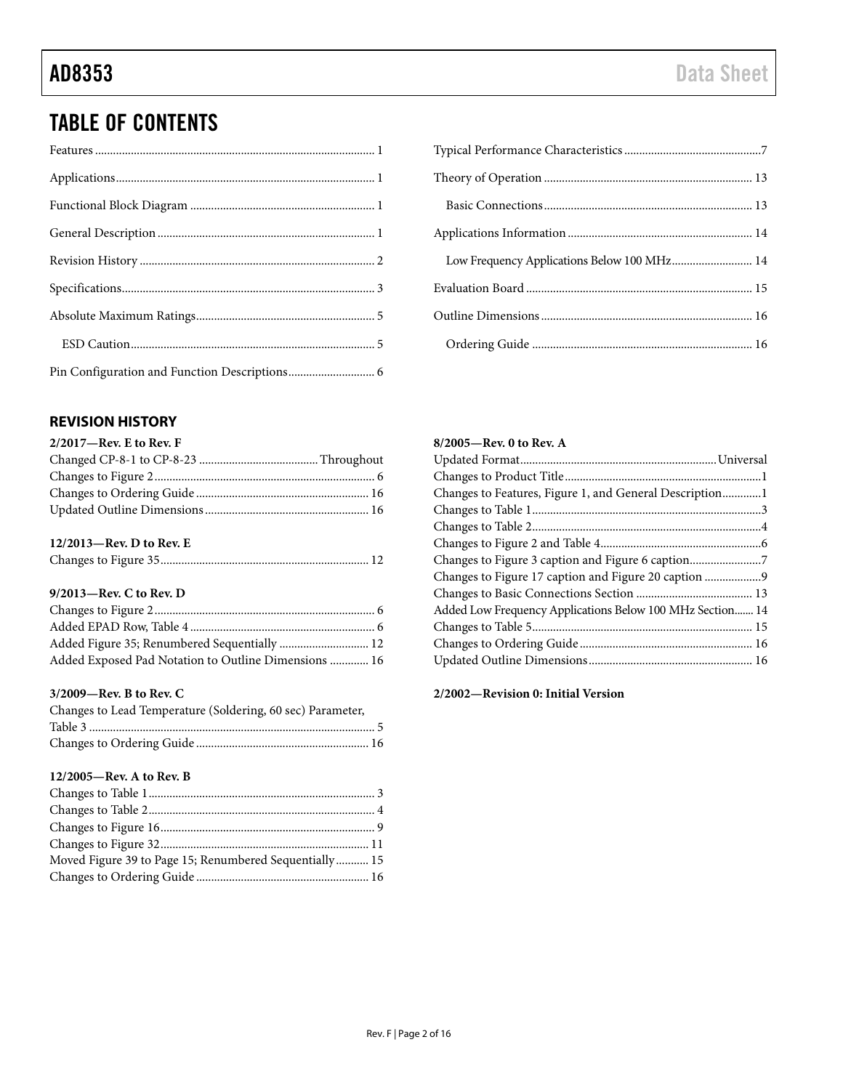## TABLE OF CONTENTS

### <span id="page-1-0"></span>**REVISION HISTORY**

| $2/2017$ —Rev. E to Rev. F |  |
|----------------------------|--|
|                            |  |
|                            |  |
|                            |  |
|                            |  |

#### **12/2013—Rev. D to Rev. E**

|--|--|

### **9/2013—Rev. C to Rev. D**

| Added Figure 35; Renumbered Sequentially  12         |  |
|------------------------------------------------------|--|
| Added Exposed Pad Notation to Outline Dimensions  16 |  |

#### **3/2009—Rev. B to Rev. C**

| Changes to Lead Temperature (Soldering, 60 sec) Parameter, |  |
|------------------------------------------------------------|--|
|                                                            |  |
|                                                            |  |

#### **12/2005—Rev. A to Rev. B**

| Moved Figure 39 to Page 15; Renumbered Sequentially 15 |  |
|--------------------------------------------------------|--|
|                                                        |  |

| Low Frequency Applications Below 100 MHz 14 |
|---------------------------------------------|
|                                             |
|                                             |
|                                             |

#### **8/2005—Rev. 0 to Rev. A**

| Changes to Features, Figure 1, and General Description1   |  |
|-----------------------------------------------------------|--|
|                                                           |  |
|                                                           |  |
|                                                           |  |
| Changes to Figure 3 caption and Figure 6 caption7         |  |
| Changes to Figure 17 caption and Figure 20 caption 9      |  |
|                                                           |  |
| Added Low Frequency Applications Below 100 MHz Section 14 |  |
|                                                           |  |
|                                                           |  |
|                                                           |  |

**2/2002—Revision 0: Initial Version**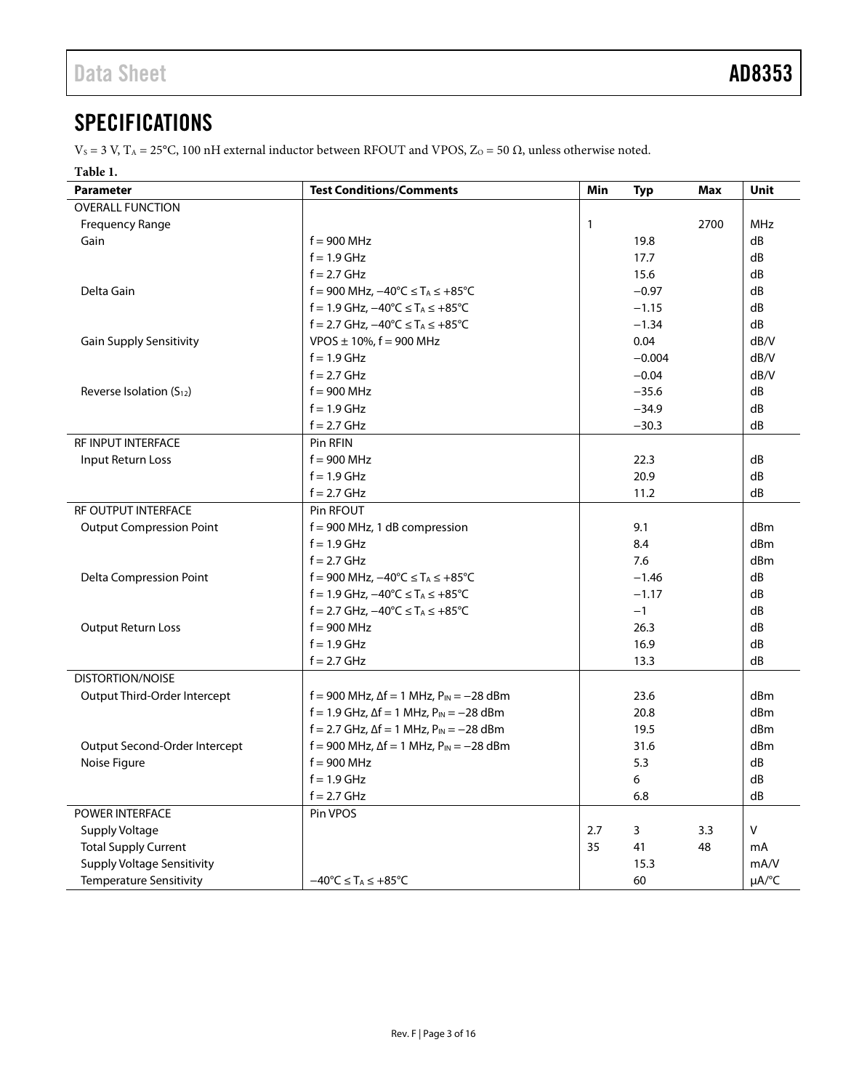## <span id="page-2-0"></span>**SPECIFICATIONS**

V<sub>S</sub> = 3 V, T<sub>A</sub> = 25°C, 100 nH external inductor between RFOUT and VPOS, Z<sub>O</sub> = 50 Ω, unless otherwise noted.

#### **Table 1.**

| <b>Parameter</b>                     | <b>Test Conditions/Comments</b>                                    | Min | <b>Typ</b> | Max  | Unit                   |
|--------------------------------------|--------------------------------------------------------------------|-----|------------|------|------------------------|
| <b>OVERALL FUNCTION</b>              |                                                                    |     |            |      |                        |
| <b>Frequency Range</b>               |                                                                    | 1   |            | 2700 | <b>MHz</b>             |
| Gain                                 | $f = 900$ MHz                                                      |     | 19.8       |      | dB                     |
|                                      | $f = 1.9$ GHz                                                      |     | 17.7       |      | dB                     |
|                                      | $f = 2.7$ GHz                                                      |     | 15.6       |      | dB                     |
| Delta Gain                           | f = 900 MHz, $-40^{\circ}$ C ≤ T <sub>A</sub> ≤ +85°C              |     | $-0.97$    |      | dB                     |
|                                      | $f = 1.9$ GHz, $-40^{\circ}$ C ≤ T <sub>A</sub> ≤ +85 $^{\circ}$ C |     | $-1.15$    |      | dB                     |
|                                      | $f = 2.7$ GHz, $-40^{\circ}$ C ≤ T <sub>A</sub> ≤ +85 $^{\circ}$ C |     | $-1.34$    |      | dB                     |
| <b>Gain Supply Sensitivity</b>       | $VPOS \pm 10\%$ , f = 900 MHz                                      |     | 0.04       |      | dB/V                   |
|                                      | $f = 1.9$ GHz                                                      |     | $-0.004$   |      | dB/V                   |
|                                      | $f = 2.7$ GHz                                                      |     | $-0.04$    |      | dB/V                   |
| Reverse Isolation (S <sub>12</sub> ) | $f = 900$ MHz                                                      |     | $-35.6$    |      | dB                     |
|                                      | $f = 1.9$ GHz                                                      |     | $-34.9$    |      | dB                     |
|                                      | $f = 2.7$ GHz                                                      |     | $-30.3$    |      | dB                     |
| RF INPUT INTERFACE                   | Pin RFIN                                                           |     |            |      |                        |
| Input Return Loss                    | $f = 900$ MHz                                                      |     | 22.3       |      | dB                     |
|                                      | $f = 1.9$ GHz                                                      |     | 20.9       |      | dB                     |
|                                      | $f = 2.7$ GHz                                                      |     | 11.2       |      | dB                     |
| RF OUTPUT INTERFACE                  | Pin RFOUT                                                          |     |            |      |                        |
| <b>Output Compression Point</b>      | $f = 900$ MHz, 1 dB compression                                    |     | 9.1        |      | dBm                    |
|                                      | $f = 1.9$ GHz                                                      |     | 8.4        |      | dBm                    |
|                                      | $f = 2.7$ GHz                                                      |     | 7.6        |      | dBm                    |
| <b>Delta Compression Point</b>       | f = 900 MHz, $-40^{\circ}$ C ≤ T <sub>A</sub> ≤ +85°C              |     | $-1.46$    |      | dB                     |
|                                      | $f = 1.9$ GHz, $-40^{\circ}$ C ≤ T <sub>A</sub> ≤ +85 $^{\circ}$ C |     | $-1.17$    |      | dB                     |
|                                      | f = 2.7 GHz, $-40^{\circ}$ C ≤ T <sub>A</sub> ≤ +85 $^{\circ}$ C   |     | $-1$       |      | dB                     |
| <b>Output Return Loss</b>            | $f = 900$ MHz                                                      |     | 26.3       |      | dB                     |
|                                      | $f = 1.9$ GHz                                                      |     | 16.9       |      | dB                     |
|                                      | $f = 2.7$ GHz                                                      |     | 13.3       |      | dB                     |
| <b>DISTORTION/NOISE</b>              |                                                                    |     |            |      |                        |
| Output Third-Order Intercept         | f = 900 MHz, $\Delta f = 1$ MHz, $P_{IN} = -28$ dBm                |     | 23.6       |      | dBm                    |
|                                      | f = 1.9 GHz, $\Delta f$ = 1 MHz, $P_{IN}$ = -28 dBm                |     | 20.8       |      | dBm                    |
|                                      | $f = 2.7$ GHz, $\Delta f = 1$ MHz, $P_{IN} = -28$ dBm              |     | 19.5       |      | dBm                    |
| Output Second-Order Intercept        | f = 900 MHz, $\Delta f = 1$ MHz, $P_{IN} = -28$ dBm                |     | 31.6       |      | dBm                    |
| Noise Figure                         | $f = 900$ MHz                                                      |     | 5.3        |      | dB                     |
|                                      | $f = 1.9$ GHz                                                      |     | 6          |      | dB                     |
|                                      | $f = 2.7$ GHz                                                      |     | 6.8        |      | dB                     |
| POWER INTERFACE                      | Pin VPOS                                                           |     |            |      |                        |
| <b>Supply Voltage</b>                |                                                                    | 2.7 | 3          | 3.3  | V                      |
| <b>Total Supply Current</b>          |                                                                    | 35  | 41         | 48   | mA                     |
| <b>Supply Voltage Sensitivity</b>    |                                                                    |     | 15.3       |      | mA/V                   |
| <b>Temperature Sensitivity</b>       | $-40^{\circ}$ C $\leq$ T <sub>A</sub> $\leq$ +85 $^{\circ}$ C      |     | 60         |      | $\mu A$ <sup>o</sup> C |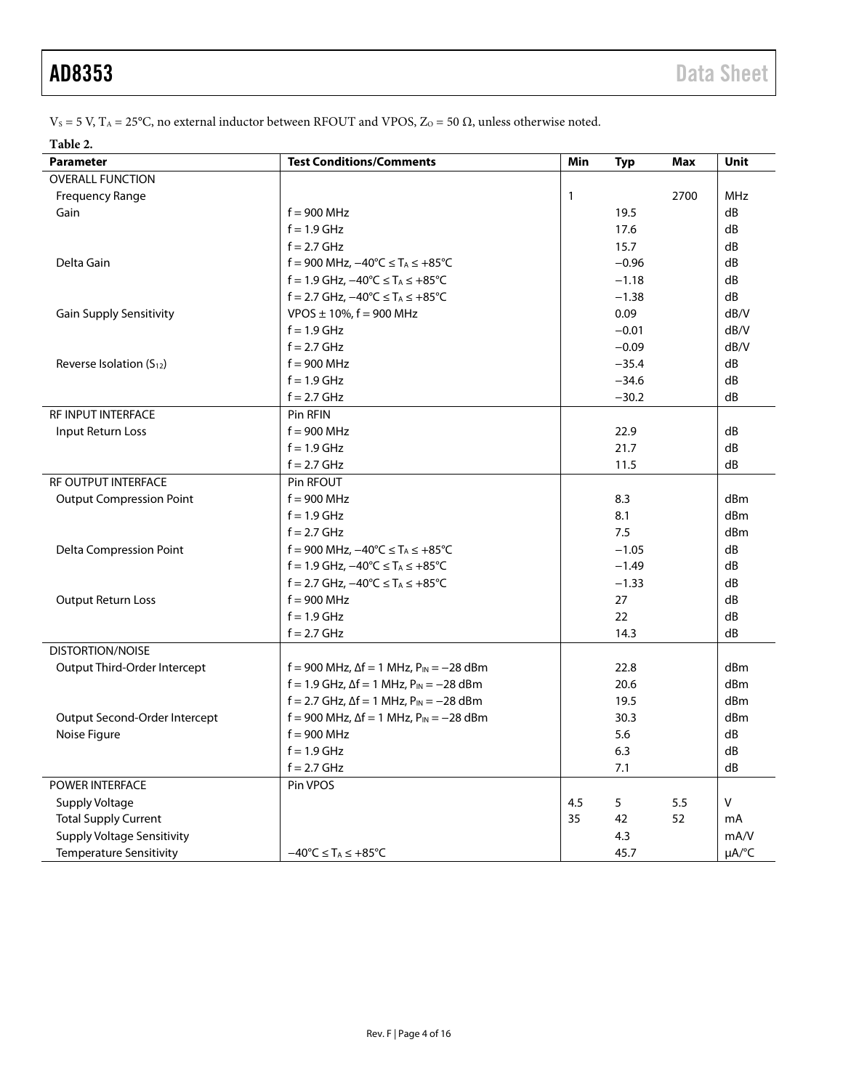$V_s$  = 5 V, T<sub>A</sub> = 25°C, no external inductor between RFOUT and VPOS, Z<sub>O</sub> = 50 Ω, unless otherwise noted.

#### **Table 2.**

| <b>Parameter</b>                     | <b>Test Conditions/Comments</b>                                    | Min | <b>Typ</b> | Max  | Unit            |
|--------------------------------------|--------------------------------------------------------------------|-----|------------|------|-----------------|
| <b>OVERALL FUNCTION</b>              |                                                                    |     |            |      |                 |
| <b>Frequency Range</b>               |                                                                    | 1   |            | 2700 | <b>MHz</b>      |
| Gain                                 | $f = 900$ MHz                                                      |     | 19.5       |      | dB              |
|                                      | $f = 1.9$ GHz                                                      |     | 17.6       |      | dB              |
|                                      | $f = 2.7$ GHz                                                      |     | 15.7       |      | dB              |
| Delta Gain                           | f = 900 MHz, $-40^{\circ}$ C ≤ T <sub>A</sub> ≤ +85 <sup>°</sup> C |     | $-0.96$    |      | dB              |
|                                      | $f = 1.9$ GHz, $-40^{\circ}$ C ≤ T <sub>A</sub> ≤ +85 $^{\circ}$ C |     | $-1.18$    |      | dB              |
|                                      | f = 2.7 GHz, $-40^{\circ}$ C ≤ T <sub>A</sub> ≤ +85 $^{\circ}$ C   |     | $-1.38$    |      | dB              |
| <b>Gain Supply Sensitivity</b>       | $VPOS \pm 10\%$ , f = 900 MHz                                      |     | 0.09       |      | dB/V            |
|                                      | $f = 1.9$ GHz                                                      |     | $-0.01$    |      | dB/V            |
|                                      | $f = 2.7$ GHz                                                      |     | $-0.09$    |      | dB/V            |
| Reverse Isolation (S <sub>12</sub> ) | $f = 900$ MHz                                                      |     | $-35.4$    |      | dB              |
|                                      | $f = 1.9$ GHz                                                      |     | $-34.6$    |      | dB              |
|                                      | $f = 2.7$ GHz                                                      |     | $-30.2$    |      | dB              |
| RF INPUT INTERFACE                   | Pin RFIN                                                           |     |            |      |                 |
| Input Return Loss                    | $f = 900$ MHz                                                      |     | 22.9       |      | dB              |
|                                      | $f = 1.9$ GHz                                                      |     | 21.7       |      | dB              |
|                                      | $f = 2.7$ GHz                                                      |     | 11.5       |      | dB              |
| <b>RF OUTPUT INTERFACE</b>           | Pin RFOUT                                                          |     |            |      |                 |
| <b>Output Compression Point</b>      | $f = 900$ MHz                                                      |     | 8.3        |      | dBm             |
|                                      | $f = 1.9$ GHz                                                      |     | 8.1        |      | dBm             |
|                                      | $f = 2.7$ GHz                                                      |     | 7.5        |      | dBm             |
| <b>Delta Compression Point</b>       | f = 900 MHz, $-40^{\circ}$ C ≤ T <sub>A</sub> ≤ +85 <sup>°</sup> C |     | $-1.05$    |      | dB              |
|                                      | f = 1.9 GHz, $-40^{\circ}$ C ≤ T <sub>A</sub> ≤ +85 $^{\circ}$ C   |     | $-1.49$    |      | dB              |
|                                      | f = 2.7 GHz, $-40^{\circ}$ C ≤ T <sub>A</sub> ≤ +85 $^{\circ}$ C   |     | $-1.33$    |      | dB              |
| <b>Output Return Loss</b>            | $f = 900$ MHz                                                      |     | 27         |      | dB              |
|                                      | $f = 1.9$ GHz                                                      |     | 22         |      | dB              |
|                                      | $f = 2.7$ GHz                                                      |     | 14.3       |      | dB              |
| <b>DISTORTION/NOISE</b>              |                                                                    |     |            |      |                 |
| Output Third-Order Intercept         | f = 900 MHz, $\Delta f = 1$ MHz, $P_{IN} = -28$ dBm                |     | 22.8       |      | dBm             |
|                                      | $f = 1.9$ GHz, $\Delta f = 1$ MHz, $P_{IN} = -28$ dBm              |     | 20.6       |      | d <sub>Bm</sub> |
|                                      | $f = 2.7$ GHz, $\Delta f = 1$ MHz, $P_{IN} = -28$ dBm              |     | 19.5       |      | dBm             |
| Output Second-Order Intercept        | $f = 900$ MHz, $\Delta f = 1$ MHz, $P_{IN} = -28$ dBm              |     | 30.3       |      | dBm             |
| Noise Figure                         | $f = 900$ MHz                                                      |     | 5.6        |      | dB              |
|                                      | $f = 1.9$ GHz                                                      |     | 6.3        |      | dB              |
|                                      | $f = 2.7$ GHz                                                      |     | 7.1        |      | dB              |
| POWER INTERFACE                      | Pin VPOS                                                           |     |            |      |                 |
| Supply Voltage                       |                                                                    | 4.5 | 5          | 5.5  | V               |
| <b>Total Supply Current</b>          |                                                                    | 35  | 42         | 52   | mA              |
| <b>Supply Voltage Sensitivity</b>    |                                                                    |     | 4.3        |      | mA/V            |
| <b>Temperature Sensitivity</b>       | $-40^{\circ}$ C $\leq$ T <sub>A</sub> $\leq$ +85 $^{\circ}$ C      |     | 45.7       |      | µA/°C           |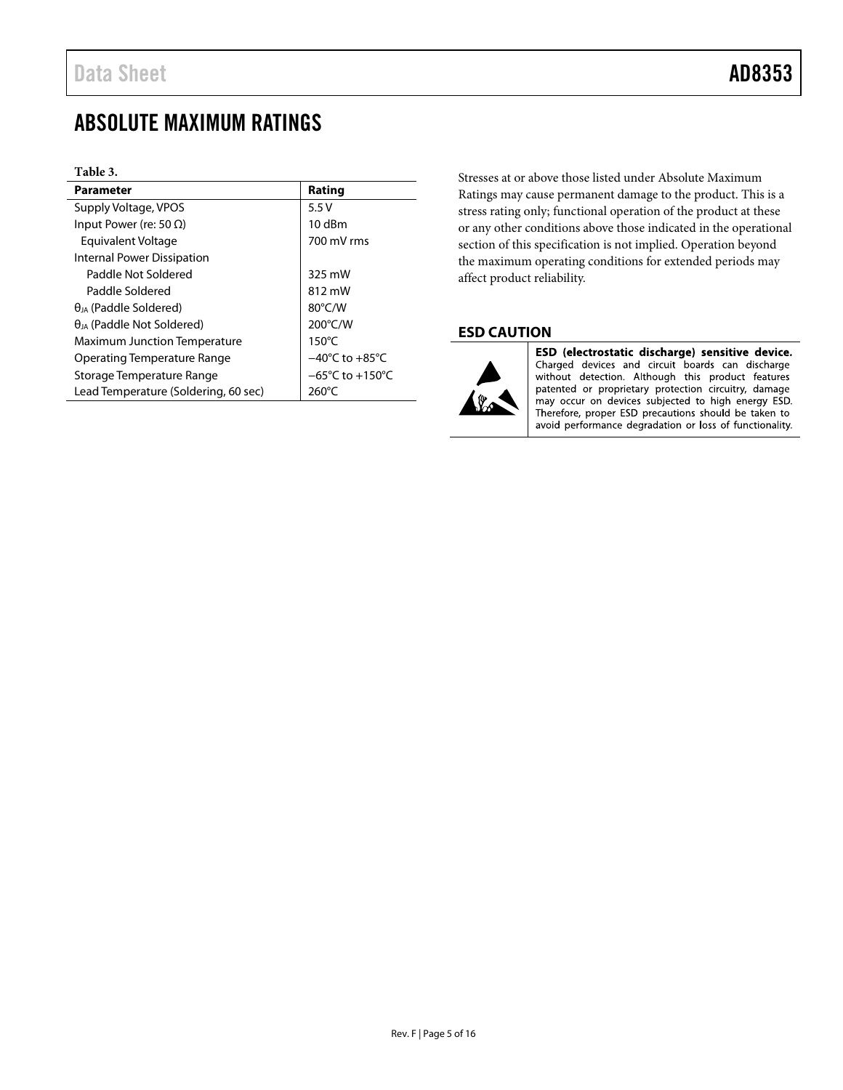## <span id="page-4-0"></span>ABSOLUTE MAXIMUM RATINGS

#### **Table 3.**

| Parameter                            | Rating                              |
|--------------------------------------|-------------------------------------|
| Supply Voltage, VPOS                 | 5.5V                                |
| Input Power (re: 50 $\Omega$ )       | $10$ dBm                            |
| Equivalent Voltage                   | 700 mV rms                          |
| Internal Power Dissipation           |                                     |
| Paddle Not Soldered                  | 325 mW                              |
| Paddle Soldered                      | 812 mW                              |
| $\theta_{JA}$ (Paddle Soldered)      | $80^{\circ}$ C/W                    |
| $\theta_{IA}$ (Paddle Not Soldered)  | 200°C/W                             |
| <b>Maximum Junction Temperature</b>  | $150^{\circ}$ C                     |
| Operating Temperature Range          | $-40^{\circ}$ C to $+85^{\circ}$ C  |
| Storage Temperature Range            | $-65^{\circ}$ C to $+150^{\circ}$ C |
| Lead Temperature (Soldering, 60 sec) | $260^{\circ}$ C                     |

Stresses at or above those listed under Absolute Maximum Ratings may cause permanent damage to the product. This is a stress rating only; functional operation of the product at these or any other conditions above those indicated in the operational section of this specification is not implied. Operation beyond the maximum operating conditions for extended periods may affect product reliability.

### <span id="page-4-1"></span>**ESD CAUTION**



ESD (electrostatic discharge) sensitive device. Charged devices and circuit boards can discharge without detection. Although this product features patented or proprietary protection circuitry, damage may occur on devices subjected to high energy ESD. Therefore, proper ESD precautions should be taken to avoid performance degradation or loss of functionality.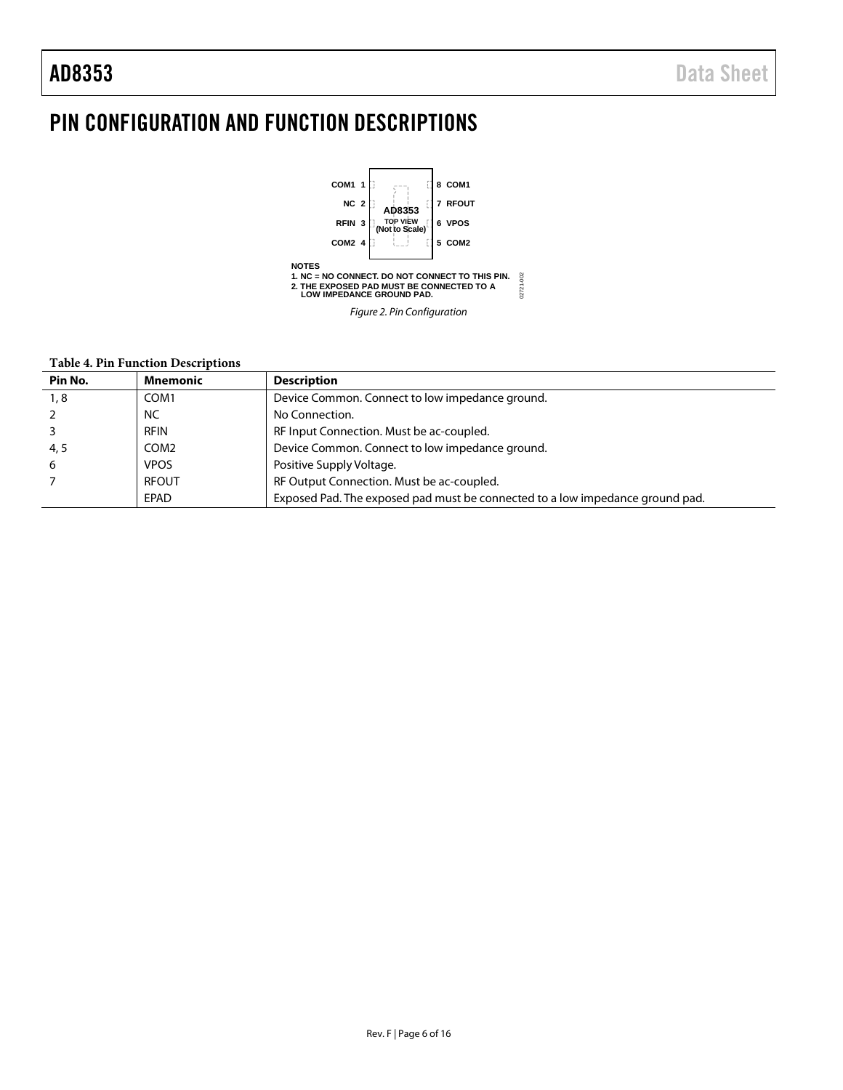## <span id="page-5-0"></span>PIN CONFIGURATION AND FUNCTION DESCRIPTIONS



#### **Table 4. Pin Function Descriptions**

| Pin No. | Mnemonic     | <b>Description</b>                                                            |
|---------|--------------|-------------------------------------------------------------------------------|
| 1, 8    | COM1         | Device Common. Connect to low impedance ground.                               |
|         | NC           | No Connection.                                                                |
|         | <b>RFIN</b>  | RF Input Connection. Must be ac-coupled.                                      |
| 4, 5    | COM2         | Device Common. Connect to low impedance ground.                               |
| 6       | <b>VPOS</b>  | Positive Supply Voltage.                                                      |
|         | <b>RFOUT</b> | RF Output Connection. Must be ac-coupled.                                     |
|         | EPAD         | Exposed Pad. The exposed pad must be connected to a low impedance ground pad. |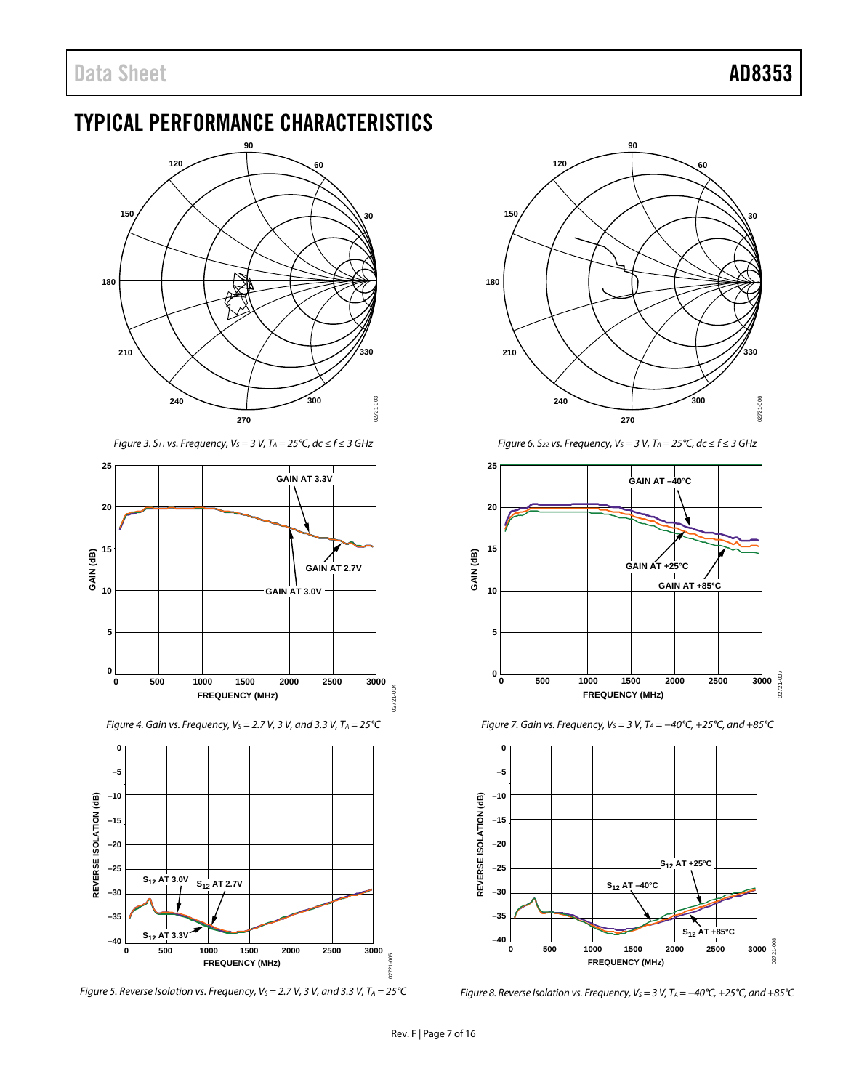## <span id="page-6-0"></span>TYPICAL PERFORMANCE CHARACTERISTICS



*Figure 3. S*<sub>11</sub> *vs. Frequency, V<sub>S</sub> = 3 V, T<sub>A</sub> = 25°C, dc ≤ f ≤ 3 GHz* 



*Figure 4. Gain vs. Frequency, V<sub>S</sub>* = 2.7 V, 3 V, and 3.3 V, T<sub>A</sub> = 25 °C



*Figure 5. Reverse Isolation vs. Frequency, V<sub>S</sub> = 2.7 V, 3 V, and 3.3 V, T<sub>A</sub> = 25°C* 



*Figure 6. S*<sub>22</sub> *vs. Frequency, V<sub>S</sub> = 3 V, T<sub>A</sub> = 25°C, dc ≤ f ≤ 3 GHz* 



*Figure 7. Gain vs. Frequency, VS = 3 V, TA = −40°C, +25°C, and +85°C*



*Figure 8. Reverse Isolation vs. Frequency, VS = 3 V, TA = −40°C, +25°C, and +85°C*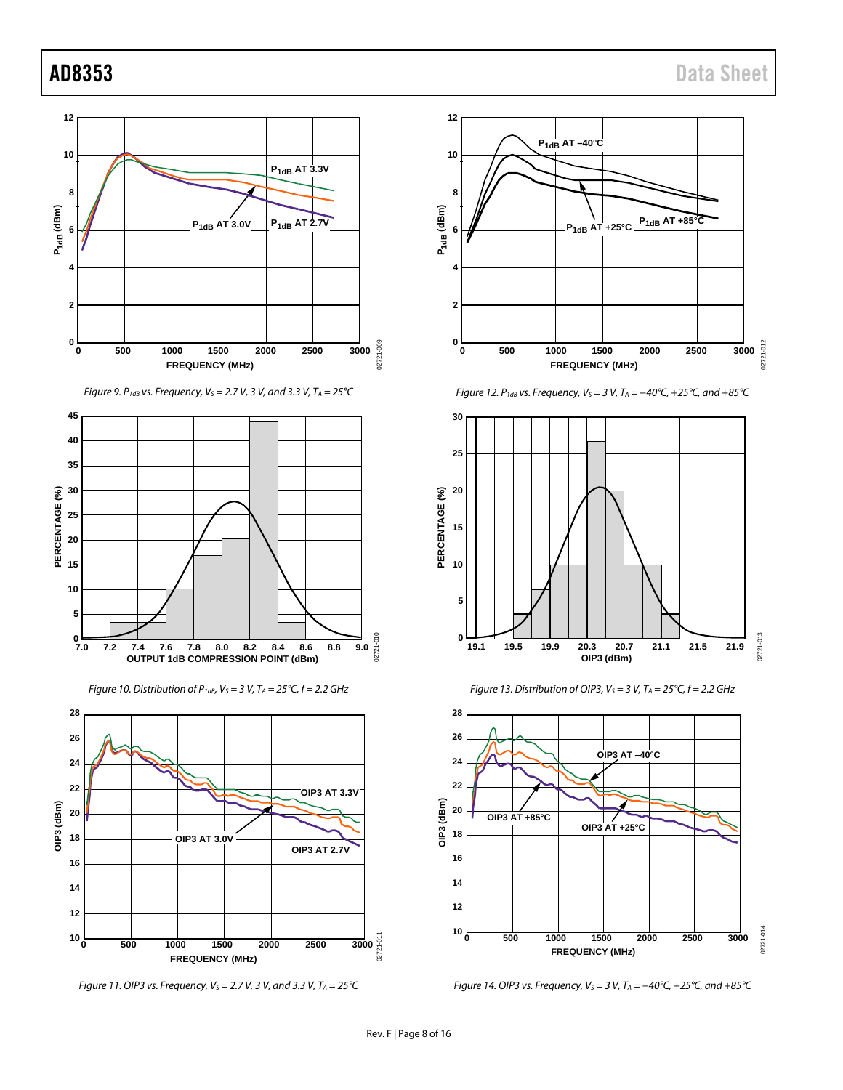

*Figure 9. P1dB vs. Frequency, VS = 2.7 V, 3 V, and 3.3 V, TA = 25°C*



*Figure 10. Distribution of P1dB, VS = 3 V, TA = 25°C, f = 2.2 GHz*



*Figure 11. OIP3 vs. Frequency, VS = 2.7 V, 3 V, and 3.3 V, TA = 25°C*



*Figure 12. P<sub>1dB</sub> vs. Frequency, V<sub>S</sub> = 3 V, T<sub>A</sub> = −40°C, +25°C, and +85°C* 







*Figure 14. OIP3 vs. Frequency, VS = 3 V, TA = −40°C, +25°C, and +85°C*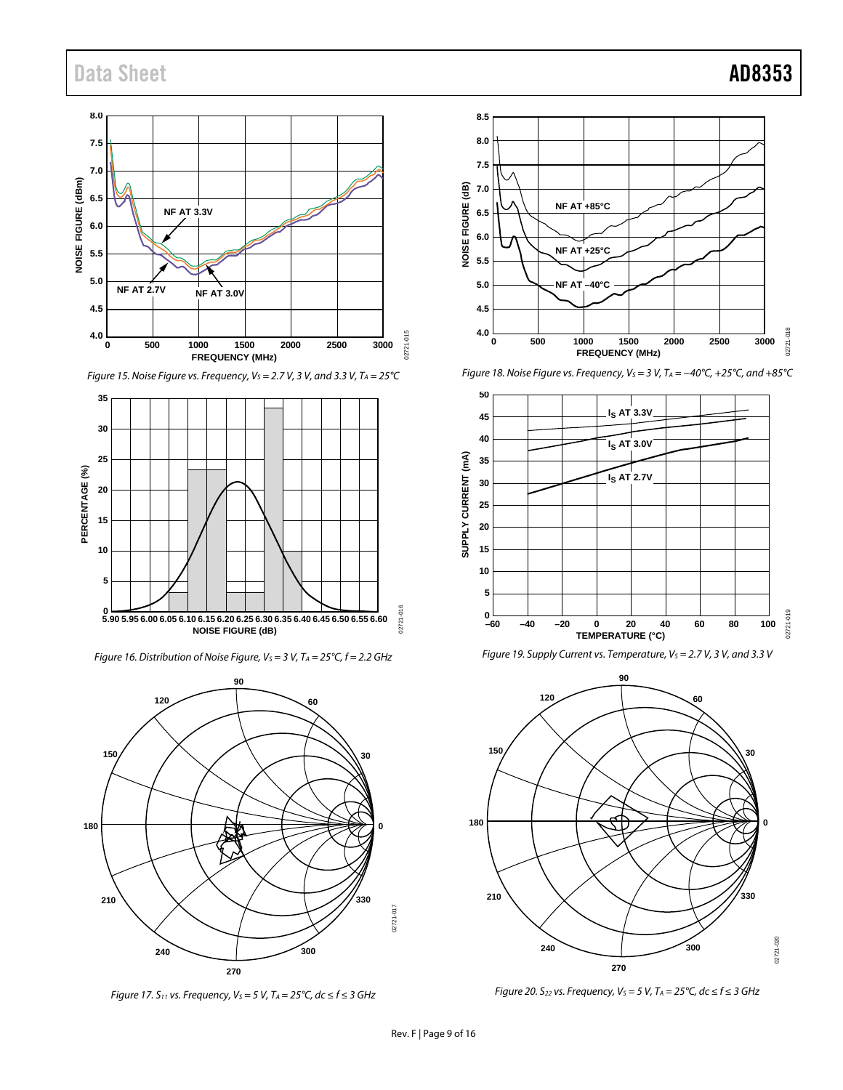## Data Sheet **AD8353**



*Figure 15. Noise Figure vs. Frequency, VS = 2.7 V, 3 V, and 3.3 V, TA = 25°C*



*Figure 16. Distribution of Noise Figure, V<sub>S</sub> = 3 V, T<sub>A</sub> = 25°C, f = 2.2 GHz* 



*Figure 17.* S<sub>11</sub> *vs. Frequency, V<sub>S</sub>* = 5 V, T<sub>A</sub> = 25°C, dc ≤ f ≤ 3 GHz



*Figure 18. Noise Figure vs. Frequency, VS = 3 V, TA = −40°C, +25°C, and +85°C*







*Figure 20. S*<sub>22</sub> *vs. Frequency, V<sub>S</sub> = 5 V, T<sub>A</sub> = 25°C, dc ≤ f ≤ 3 GHz*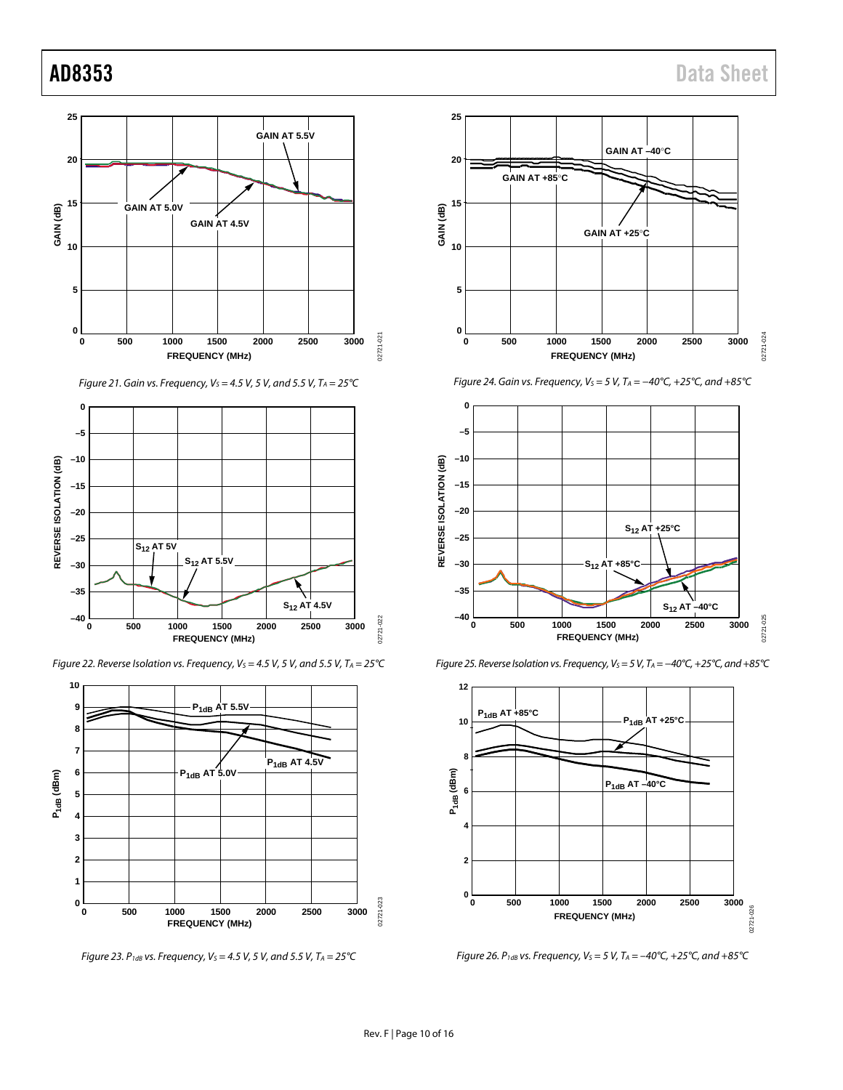

*Figure 21. Gain vs. Frequency, VS = 4.5 V, 5 V, and 5.5 V, TA = 25°C*



*Figure 22. Reverse Isolation vs. Frequency, V<sub>S</sub> = 4.5 V, 5 V, and 5.5 V, T<sub>A</sub> = 25°C* 



*Figure 23. P<sub>1dB</sub> vs. Frequency, V<sub>S</sub> = 4.5 V, 5 V, and 5.5 V, T<sub>A</sub> = 25<sup>°</sup>C* 



*Figure 24. Gain vs. Frequency, VS = 5 V, TA = −40°C, +25°C, and +85°C*



*Figure 25. Reverse Isolation vs. Frequency, Vs* = 5 V, T<sub>A</sub> = −40°C, +25°C, and +85°C



*Figure 26. P1dB vs. Frequency, VS = 5 V, TA = –40°C, +25°C, and +85°C*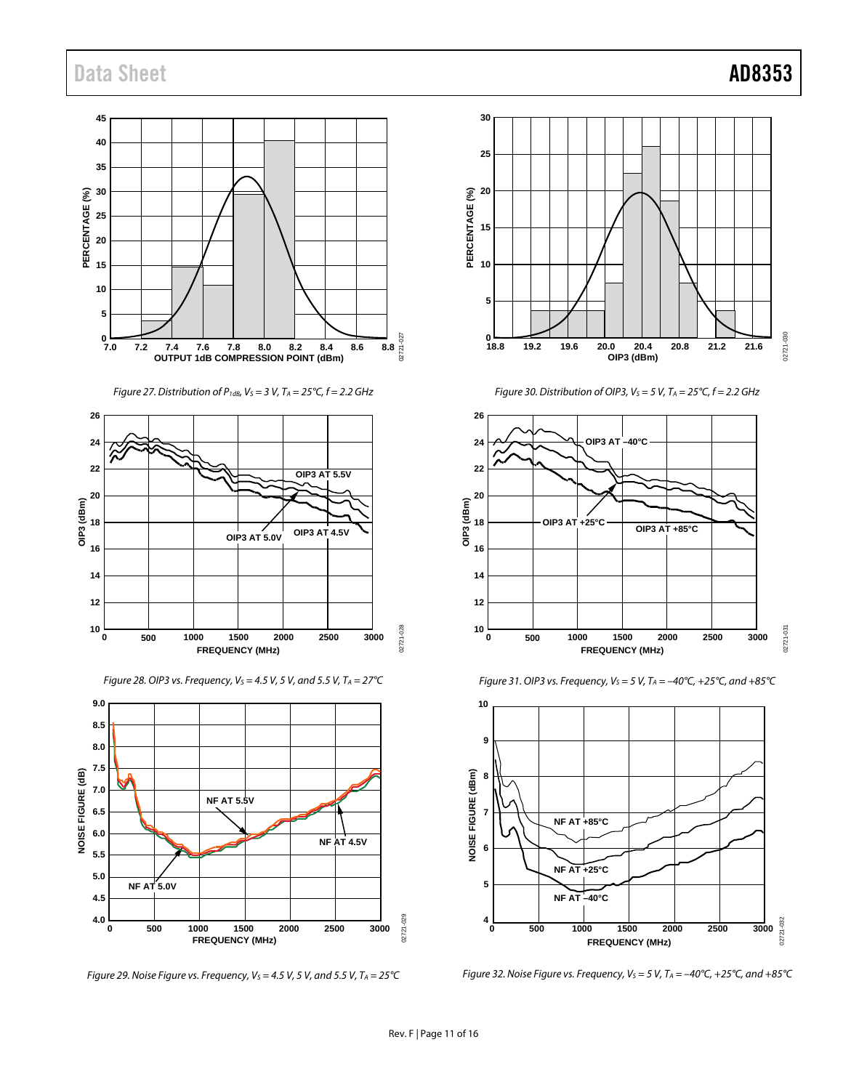## Data Sheet **AD8353**

**35 10 45 25** ــا 0<br>7.0 **40 20 15 30 5 OUTPUT 1dB COMPRESSION POINT (dBm) 7.0 7.2 7.4 7.6 7.8 8.0 8.2 8.4 8.6 8.8 PERCENTAGE (%)**

*Figure 27. Distribution of P1dB, VS = 3 V, TA = 25°C, f = 2.2 GHz*



*Figure 28. OIP3 vs. Frequency, VS = 4.5 V, 5 V, and 5.5 V, TA = 27°C*







*Figure 30. Distribution of OIP3, V<sub>S</sub> = 5 V, T<sub>A</sub> = 25°C, f = 2.2 GHz* 



*Figure 31. OIP3 vs. Frequency, V<sub>S</sub> = 5 V, T<sub>A</sub> = -40°C, +25°C, and +85°C* 



*Figure 32. Noise Figure vs. Frequency, VS = 5 V, TA = –40°C, +25°C, and +85°C*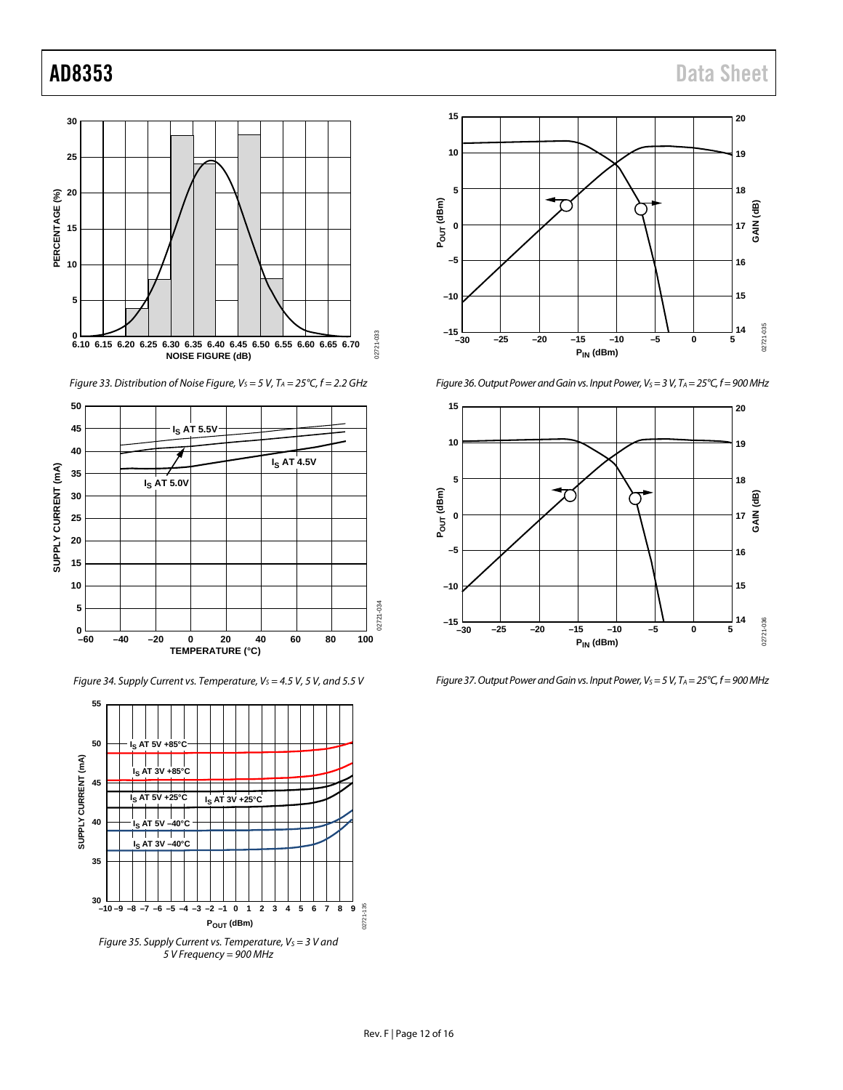

*Figure 33. Distribution of Noise Figure, Vs* = 5 V, T<sub>A</sub> = 25°C, f = 2.2 GHz



*Figure 34. Supply Current vs. Temperature, V<sub>S</sub> = 4.5 V, 5 V, and 5.5 V* 





*Figure 36. Output Power and Gain vs. Input Power, V<sub>S</sub> = 3 V, T<sub>A</sub> = 25°C, f = 900 MHz* 



*Figure 37. Output Power and Gain vs. Input Power, Vs = 5 V, T<sub>A</sub> = 25°C, f = 900 MHz*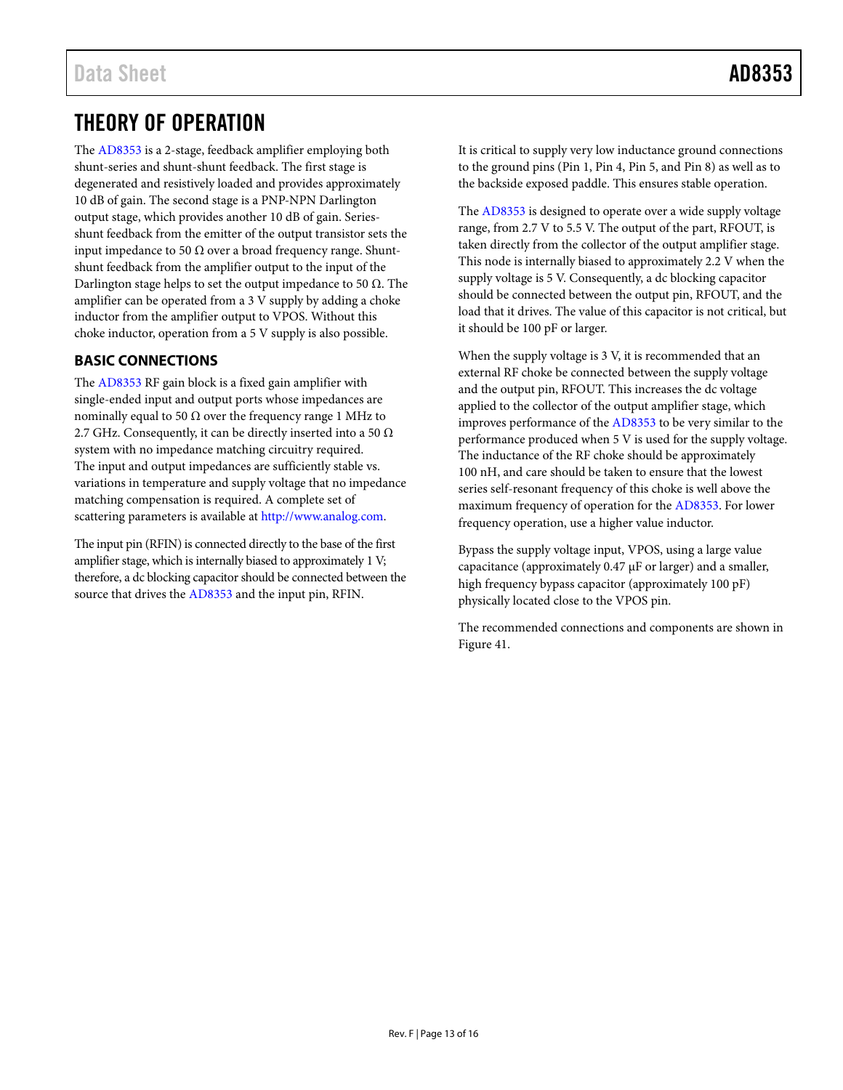## <span id="page-12-0"></span>THEORY OF OPERATION

The [AD8353](http://www.analog.com/AD8353?doc=AD8353.pdf) is a 2-stage, feedback amplifier employing both shunt-series and shunt-shunt feedback. The first stage is degenerated and resistively loaded and provides approximately 10 dB of gain. The second stage is a PNP-NPN Darlington output stage, which provides another 10 dB of gain. Seriesshunt feedback from the emitter of the output transistor sets the input impedance to 50  $\Omega$  over a broad frequency range. Shuntshunt feedback from the amplifier output to the input of the Darlington stage helps to set the output impedance to 50  $\Omega$ . The amplifier can be operated from a 3 V supply by adding a choke inductor from the amplifier output to VPOS. Without this choke inductor, operation from a 5 V supply is also possible.

### <span id="page-12-1"></span>**BASIC CONNECTIONS**

The [AD8353](http://www.analog.com/AD8353?doc=AD8353.pdf) RF gain block is a fixed gain amplifier with single-ended input and output ports whose impedances are nominally equal to 50  $Ω$  over the frequency range 1 MHz to 2.7 GHz. Consequently, it can be directly inserted into a 50  $\Omega$ system with no impedance matching circuitry required. The input and output impedances are sufficiently stable vs. variations in temperature and supply voltage that no impedance matching compensation is required. A complete set of scattering parameters is available at [http://www.analog.com.](http://www.analog.com/)

The input pin (RFIN) is connected directly to the base of the first amplifier stage, which is internally biased to approximately 1 V; therefore, a dc blocking capacitor should be connected between the source that drives the [AD8353](http://www.analog.com/AD8353?doc=AD8353.pdf) and the input pin, RFIN.

It is critical to supply very low inductance ground connections to the ground pins (Pin 1, Pin 4, Pin 5, and Pin 8) as well as to the backside exposed paddle. This ensures stable operation.

The [AD8353](http://www.analog.com/AD8353?doc=AD8353.pdf) is designed to operate over a wide supply voltage range, from 2.7 V to 5.5 V. The output of the part, RFOUT, is taken directly from the collector of the output amplifier stage. This node is internally biased to approximately 2.2 V when the supply voltage is 5 V. Consequently, a dc blocking capacitor should be connected between the output pin, RFOUT, and the load that it drives. The value of this capacitor is not critical, but it should be 100 pF or larger.

When the supply voltage is 3 V, it is recommended that an external RF choke be connected between the supply voltage and the output pin, RFOUT. This increases the dc voltage applied to the collector of the output amplifier stage, which improves performance of the [AD8353](http://www.analog.com/AD8353?doc=AD8353.pdf) to be very similar to the performance produced when 5 V is used for the supply voltage. The inductance of the RF choke should be approximately 100 nH, and care should be taken to ensure that the lowest series self-resonant frequency of this choke is well above the maximum frequency of operation for th[e AD8353.](http://www.analog.com/AD8353?doc=AD8353.pdf) For lower frequency operation, use a higher value inductor.

Bypass the supply voltage input, VPOS, using a large value capacitance (approximately 0.47 µF or larger) and a smaller, high frequency bypass capacitor (approximately 100 pF) physically located close to the VPOS pin.

The recommended connections and components are shown in [Figure 41.](#page-14-1)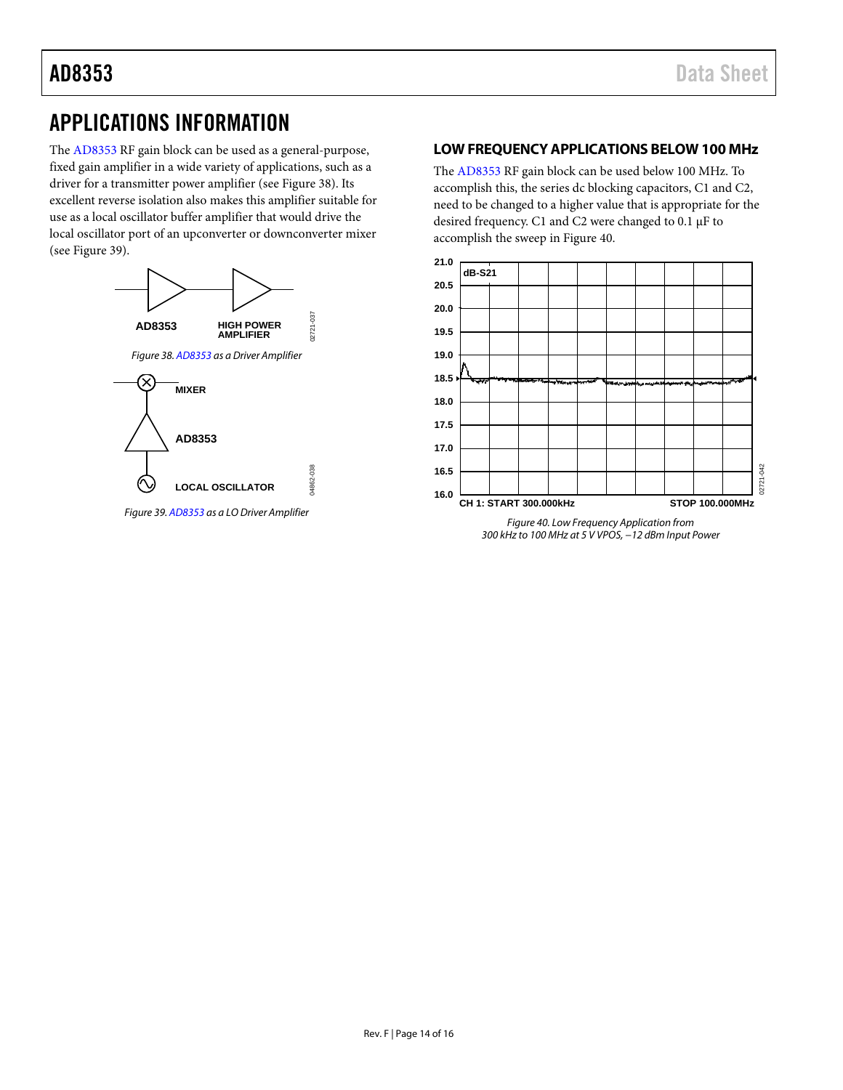## <span id="page-13-0"></span>APPLICATIONS INFORMATION

The [AD8353](http://www.analog.com/AD8353?doc=AD8353.pdf) RF gain block can be used as a general-purpose, fixed gain amplifier in a wide variety of applications, such as a driver for a transmitter power amplifier (see [Figure 38\)](#page-13-2). Its excellent reverse isolation also makes this amplifier suitable for use as a local oscillator buffer amplifier that would drive the local oscillator port of an upconverter or downconverter mixer (see [Figure 39\)](#page-13-3).

<span id="page-13-2"></span>

<span id="page-13-3"></span>*Figure 39[. AD8353](http://www.analog.com/AD8353?doc=AD8353.pdf) as a LO Driver Amplifier*

### <span id="page-13-1"></span>**LOW FREQUENCY APPLICATIONS BELOW 100 MHz**

The [AD8353](http://www.analog.com/AD8353?doc=AD8353.pdf) RF gain block can be used below 100 MHz. To accomplish this, the series dc blocking capacitors, C1 and C2, need to be changed to a higher value that is appropriate for the desired frequency. C1 and C2 were changed to 0.1 µF to accomplish the sweep i[n Figure 40.](#page-13-4)



<span id="page-13-4"></span>*300 kHz to 100 MHz at 5 V VPOS, −12 dBm Input Power*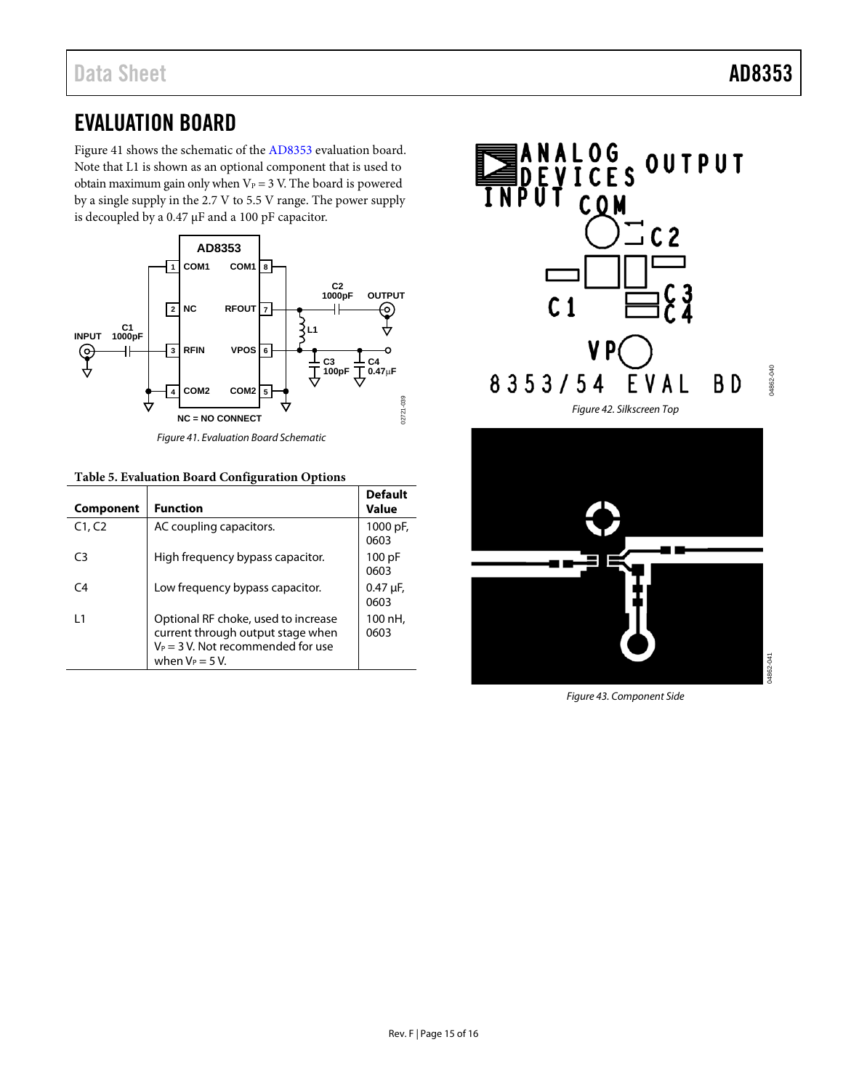## <span id="page-14-0"></span>EVALUATION BOARD

[Figure 41](#page-14-1) shows the schematic of the [AD8353](http://www.analog.com/AD8353?doc=AD8353.pdf) evaluation board. Note that L1 is shown as an optional component that is used to obtain maximum gain only when  $V_P = 3$  V. The board is powered by a single supply in the 2.7 V to 5.5 V range. The power supply is decoupled by a 0.47 µF and a 100 pF capacitor.



*Figure 41. Evaluation Board Schematic*

#### <span id="page-14-1"></span>**Table 5. Evaluation Board Configuration Options**

| <b>Component</b> | <b>Function</b>                                                                                                                        | <b>Default</b><br>Value |
|------------------|----------------------------------------------------------------------------------------------------------------------------------------|-------------------------|
| C1, C2           | AC coupling capacitors.                                                                                                                | 1000 pF,<br>0603        |
| C3               | High frequency bypass capacitor.                                                                                                       | 100 pF<br>0603          |
| C <sub>4</sub>   | Low frequency bypass capacitor.                                                                                                        | $0.47 \mu F$ ,<br>0603  |
| l 1              | Optional RF choke, used to increase<br>current through output stage when<br>$V_P$ = 3 V. Not recommended for use<br>when $V_P = 5 V$ . | 100 nH,<br>0603         |





*Figure 43. Component Side*